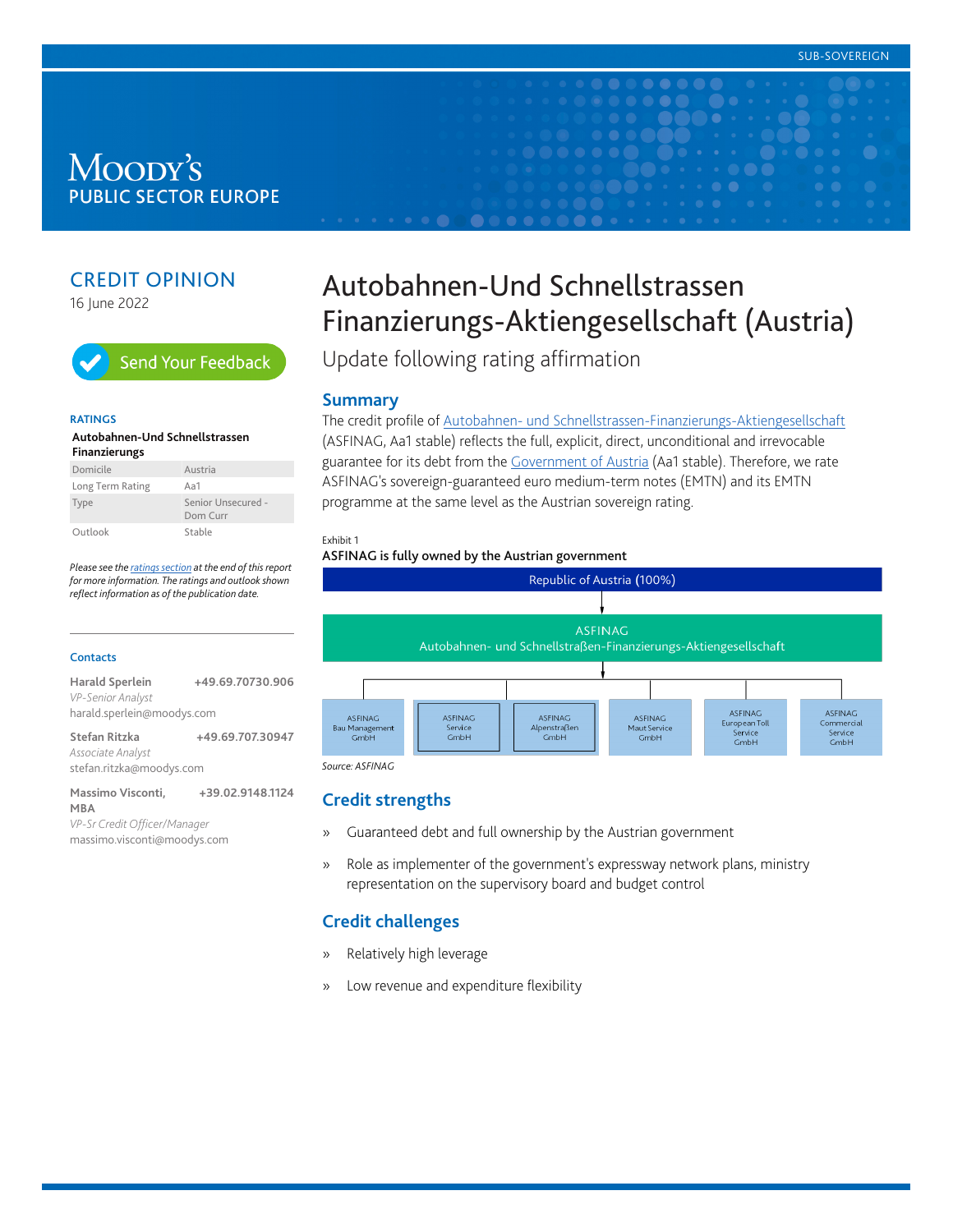## Moody's **PUBLIC SECTOR EUROPE**

## CREDIT OPINION

16 June 2022



#### **RATINGS**

#### **Autobahnen-Und Schnellstrassen Finanzierungs**

| Domicile         | Austria                        |
|------------------|--------------------------------|
| Long Term Rating | Aa1                            |
| Type             | Senior Unsecured -<br>Dom Curr |
| Outlook          | Stable                         |

*Please see the [ratings section](#page-3-0) at the end of this report for more information. The ratings and outlook shown reflect information as of the publication date.*

#### **Contacts**

| Harald Sperlein            | +49.69.70730.906 |
|----------------------------|------------------|
| <b>VP-Senior Analyst</b>   |                  |
| harald.sperlein@moodys.com |                  |
|                            |                  |

**Stefan Ritzka +49.69.707.30947** *Associate Analyst* stefan.ritzka@moodys.com

**Massimo Visconti, MBA +39.02.9148.1124** *VP-Sr Credit Officer/Manager* massimo.visconti@moodys.com

# Autobahnen-Und Schnellstrassen Finanzierungs-Aktiengesellschaft (Austria)

 $\bullet\bullet\bullet\bullet$ 

Update following rating affirmation

#### **Summary**

The credit profile of [Autobahnen- und Schnellstrassen-Finanzierungs-Aktiengesellschaft](https://www.moodys.com/credit-ratings/Autobahnen-Und-Schnellstrassen-Finanzierungs-credit-rating-69585) (ASFINAG, Aa1 stable) reflects the full, explicit, direct, unconditional and irrevocable guarantee for its debt from the [Government of Austria](https://www.moodys.com/credit-ratings/Austria-Government-of-credit-rating-76100) (Aa1 stable). Therefore, we rate ASFINAG's sovereign-guaranteed euro medium-term notes (EMTN) and its EMTN programme at the same level as the Austrian sovereign rating.

#### Exhibit 1

#### ASFINAG is fully owned by the Austrian government



*Source: ASFINAG*

## **Credit strengths**

- » Guaranteed debt and full ownership by the Austrian government
- » Role as implementer of the government's expressway network plans, ministry representation on the supervisory board and budget control

## **Credit challenges**

- » Relatively high leverage
- » Low revenue and expenditure flexibility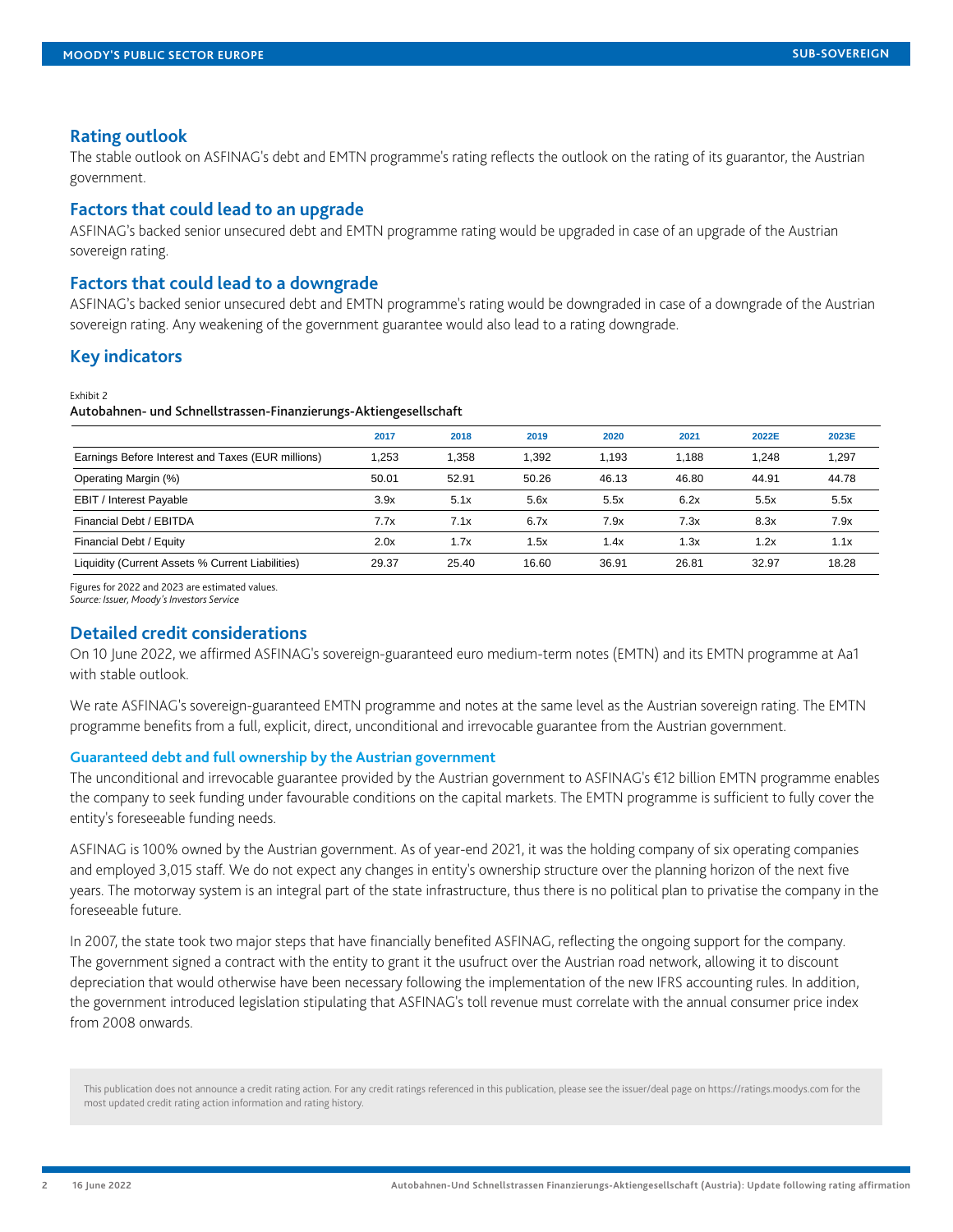#### **Rating outlook**

The stable outlook on ASFINAG's debt and EMTN programme's rating reflects the outlook on the rating of its guarantor, the Austrian government.

## **Factors that could lead to an upgrade**

ASFINAG's backed senior unsecured debt and EMTN programme rating would be upgraded in case of an upgrade of the Austrian sovereign rating.

## **Factors that could lead to a downgrade**

ASFINAG's backed senior unsecured debt and EMTN programme's rating would be downgraded in case of a downgrade of the Austrian sovereign rating. Any weakening of the government guarantee would also lead to a rating downgrade.

## **Key indicators**

Exhibit 2

#### Autobahnen- und Schnellstrassen-Finanzierungs-Aktiengesellschaft

|                                                   | 2017  | 2018  | 2019  | 2020  | 2021  | 2022E | 2023E |
|---------------------------------------------------|-------|-------|-------|-------|-------|-------|-------|
| Earnings Before Interest and Taxes (EUR millions) | 1.253 | 1.358 | 1.392 | 1.193 | 1.188 | 1.248 | .297  |
| Operating Margin (%)                              | 50.01 | 52.91 | 50.26 | 46.13 | 46.80 | 44.91 | 44.78 |
| <b>EBIT / Interest Payable</b>                    | 3.9x  | 5.1x  | 5.6x  | 5.5x  | 6.2x  | 5.5x  | 5.5x  |
| Financial Debt / EBITDA                           | 7.7x  | 7.1x  | 6.7x  | 7.9x  | 7.3x  | 8.3x  | 7.9x  |
| Financial Debt / Equity                           | 2.0x  | 1.7x  | i .5x | 1.4x  | 1.3x  | 1.2x  | 1.1x  |
| Liquidity (Current Assets % Current Liabilities)  | 29.37 | 25.40 | 16.60 | 36.91 | 26.81 | 32.97 | 18.28 |

Figures for 2022 and 2023 are estimated values.

*Source: Issuer, Moody's Investors Service*

## **Detailed credit considerations**

On 10 June 2022, we affirmed ASFINAG's sovereign-guaranteed euro medium-term notes (EMTN) and its EMTN programme at Aa1 with stable outlook.

We rate ASFINAG's sovereign-guaranteed EMTN programme and notes at the same level as the Austrian sovereign rating. The EMTN programme benefits from a full, explicit, direct, unconditional and irrevocable guarantee from the Austrian government.

#### **Guaranteed debt and full ownership by the Austrian government**

The unconditional and irrevocable guarantee provided by the Austrian government to ASFINAG's €12 billion EMTN programme enables the company to seek funding under favourable conditions on the capital markets. The EMTN programme is sufficient to fully cover the entity's foreseeable funding needs.

ASFINAG is 100% owned by the Austrian government. As of year-end 2021, it was the holding company of six operating companies and employed 3,015 staff. We do not expect any changes in entity's ownership structure over the planning horizon of the next five years. The motorway system is an integral part of the state infrastructure, thus there is no political plan to privatise the company in the foreseeable future.

In 2007, the state took two major steps that have financially benefited ASFINAG, reflecting the ongoing support for the company. The government signed a contract with the entity to grant it the usufruct over the Austrian road network, allowing it to discount depreciation that would otherwise have been necessary following the implementation of the new IFRS accounting rules. In addition, the government introduced legislation stipulating that ASFINAG's toll revenue must correlate with the annual consumer price index from 2008 onwards.

This publication does not announce a credit rating action. For any credit ratings referenced in this publication, please see the issuer/deal page on https://ratings.moodys.com for the most updated credit rating action information and rating history.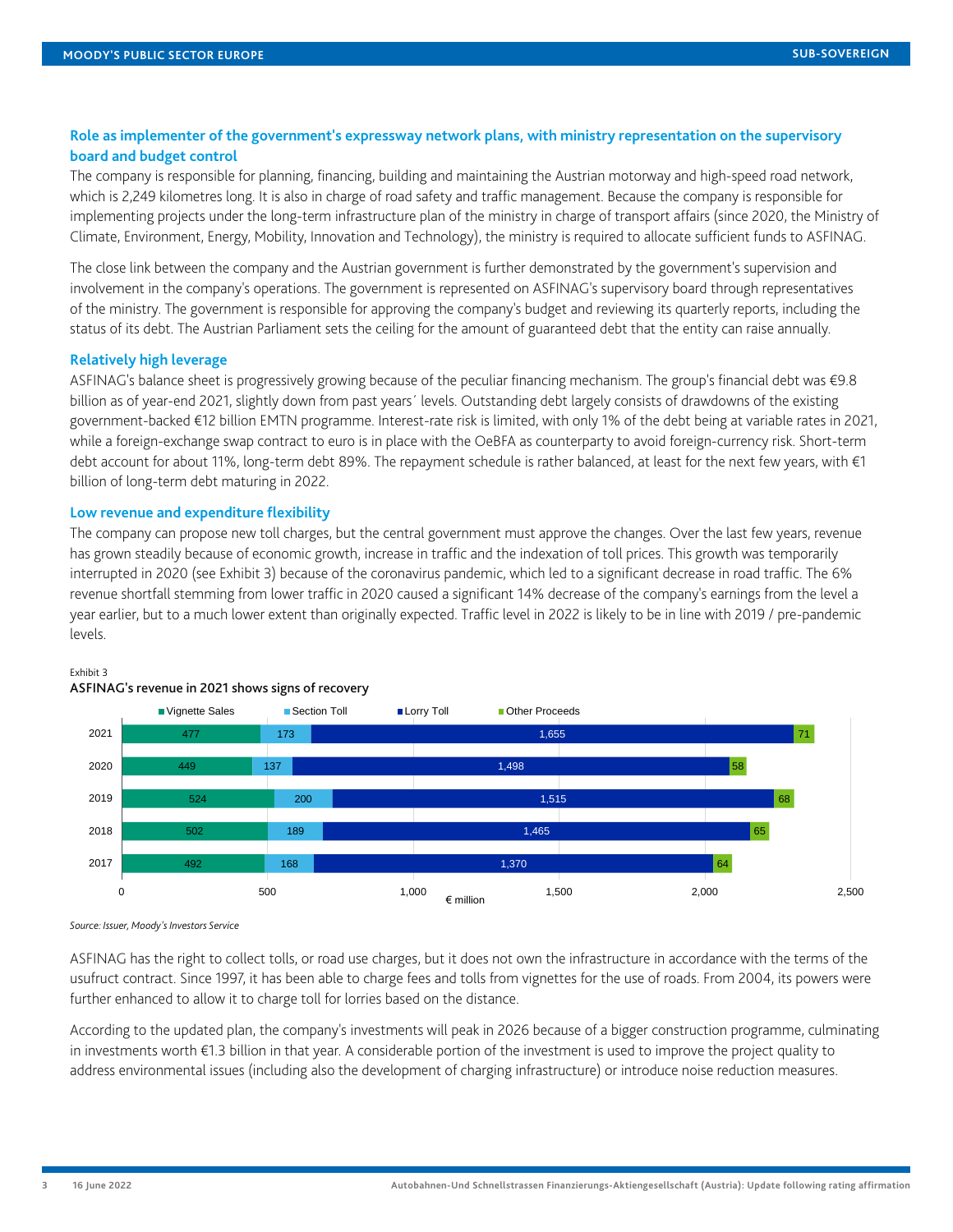## **Role as implementer of the government's expressway network plans, with ministry representation on the supervisory board and budget control**

The company is responsible for planning, financing, building and maintaining the Austrian motorway and high-speed road network, which is 2,249 kilometres long. It is also in charge of road safety and traffic management. Because the company is responsible for implementing projects under the long-term infrastructure plan of the ministry in charge of transport affairs (since 2020, the Ministry of Climate, Environment, Energy, Mobility, Innovation and Technology), the ministry is required to allocate sufficient funds to ASFINAG.

The close link between the company and the Austrian government is further demonstrated by the government's supervision and involvement in the company's operations. The government is represented on ASFINAG's supervisory board through representatives of the ministry. The government is responsible for approving the company's budget and reviewing its quarterly reports, including the status of its debt. The Austrian Parliament sets the ceiling for the amount of guaranteed debt that the entity can raise annually.

#### **Relatively high leverage**

ASFINAG's balance sheet is progressively growing because of the peculiar financing mechanism. The group's financial debt was €9.8 billion as of year-end 2021, slightly down from past years´ levels. Outstanding debt largely consists of drawdowns of the existing government-backed €12 billion EMTN programme. Interest-rate risk is limited, with only 1% of the debt being at variable rates in 2021, while a foreign-exchange swap contract to euro is in place with the OeBFA as counterparty to avoid foreign-currency risk. Short-term debt account for about 11%, long-term debt 89%. The repayment schedule is rather balanced, at least for the next few years, with €1 billion of long-term debt maturing in 2022.

#### **Low revenue and expenditure flexibility**

The company can propose new toll charges, but the central government must approve the changes. Over the last few years, revenue has grown steadily because of economic growth, increase in traffic and the indexation of toll prices. This growth was temporarily interrupted in 2020 (see Exhibit 3) because of the coronavirus pandemic, which led to a significant decrease in road traffic. The 6% revenue shortfall stemming from lower traffic in 2020 caused a significant 14% decrease of the company's earnings from the level a year earlier, but to a much lower extent than originally expected. Traffic level in 2022 is likely to be in line with 2019 / pre-pandemic levels.



#### Exhibit 3

ASFINAG has the right to collect tolls, or road use charges, but it does not own the infrastructure in accordance with the terms of the usufruct contract. Since 1997, it has been able to charge fees and tolls from vignettes for the use of roads. From 2004, its powers were further enhanced to allow it to charge toll for lorries based on the distance.

According to the updated plan, the company's investments will peak in 2026 because of a bigger construction programme, culminating in investments worth €1.3 billion in that year. A considerable portion of the investment is used to improve the project quality to address environmental issues (including also the development of charging infrastructure) or introduce noise reduction measures.

*Source: Issuer, Moody's Investors Service*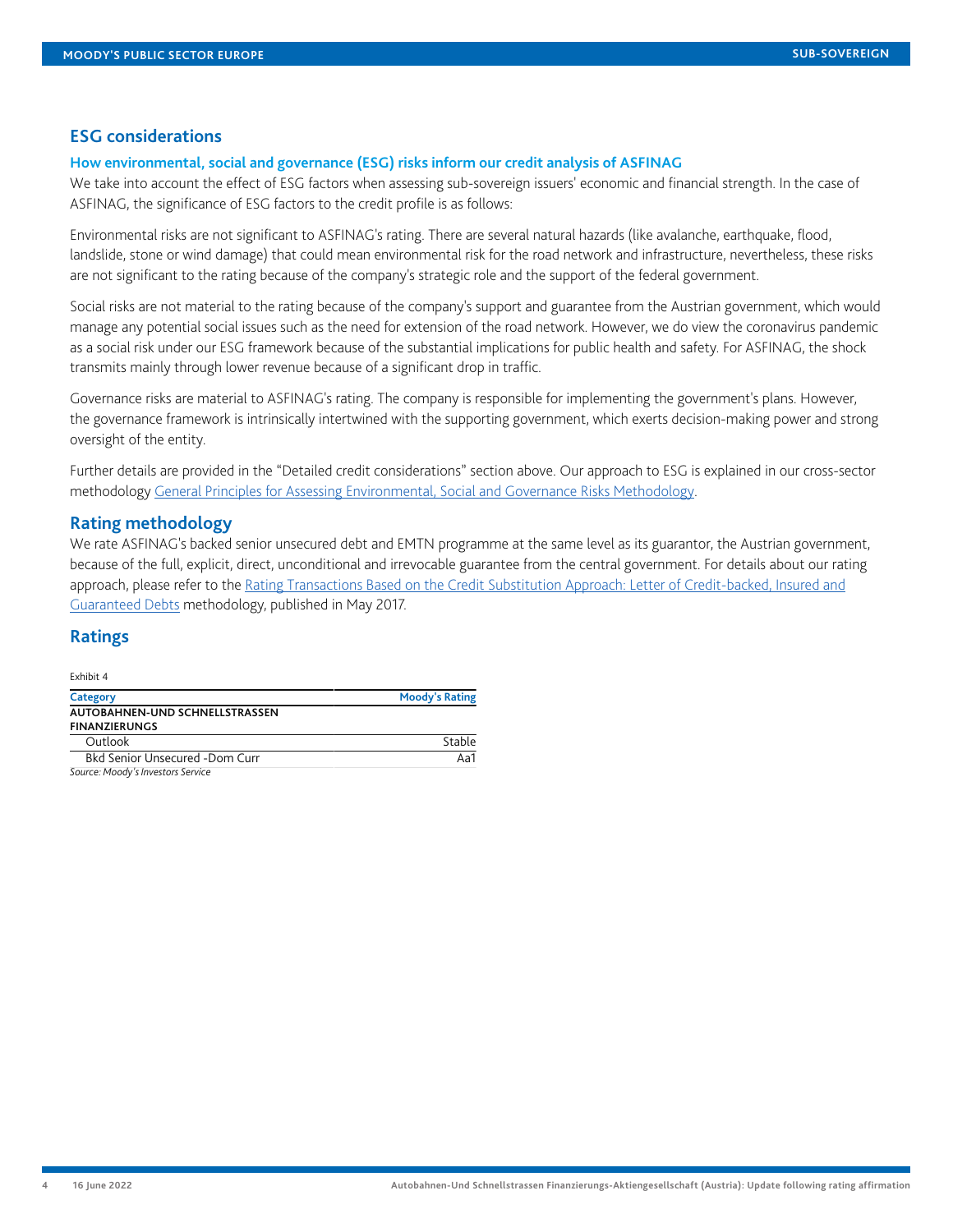## **ESG considerations**

#### **How environmental, social and governance (ESG) risks inform our credit analysis of ASFINAG**

We take into account the effect of ESG factors when assessing sub-sovereign issuers' economic and financial strength. In the case of ASFINAG, the significance of ESG factors to the credit profile is as follows:

Environmental risks are not significant to ASFINAG's rating. There are several natural hazards (like avalanche, earthquake, flood, landslide, stone or wind damage) that could mean environmental risk for the road network and infrastructure, nevertheless, these risks are not significant to the rating because of the company's strategic role and the support of the federal government.

Social risks are not material to the rating because of the company's support and guarantee from the Austrian government, which would manage any potential social issues such as the need for extension of the road network. However, we do view the coronavirus pandemic as a social risk under our ESG framework because of the substantial implications for public health and safety. For ASFINAG, the shock transmits mainly through lower revenue because of a significant drop in traffic.

Governance risks are material to ASFINAG's rating. The company is responsible for implementing the government's plans. However, the governance framework is intrinsically intertwined with the supporting government, which exerts decision-making power and strong oversight of the entity.

Further details are provided in the "Detailed credit considerations" section above. Our approach to ESG is explained in our cross-sector methodology [General Principles for Assessing Environmental, Social and Governance Risks Methodology](https://www.moodys.com/researchdocumentcontentpage.aspx?docid=PBC_1288235).

#### **Rating methodology**

We rate ASFINAG's backed senior unsecured debt and EMTN programme at the same level as its guarantor, the Austrian government, because of the full, explicit, direct, unconditional and irrevocable guarantee from the central government. For details about our rating approach, please refer to the [Rating Transactions Based on the Credit Substitution Approach: Letter of Credit-backed, Insured and](https://www.moodys.com/researchdocumentcontentpage.aspx?docid=PBC_1068154) [Guaranteed Debts](https://www.moodys.com/researchdocumentcontentpage.aspx?docid=PBC_1068154) methodology, published in May 2017.

## <span id="page-3-0"></span>**Ratings**

Exhibit 4

| Category                              | <b>Moody's Rating</b> |  |  |  |
|---------------------------------------|-----------------------|--|--|--|
| AUTOBAHNEN-UND SCHNELLSTRASSEN        |                       |  |  |  |
| <b>FINANZIERUNGS</b>                  |                       |  |  |  |
| Outlook                               | Stable                |  |  |  |
| <b>Bkd Senior Unsecured -Dom Curr</b> | Aa1                   |  |  |  |
| Source: Moody's Investors Service     |                       |  |  |  |